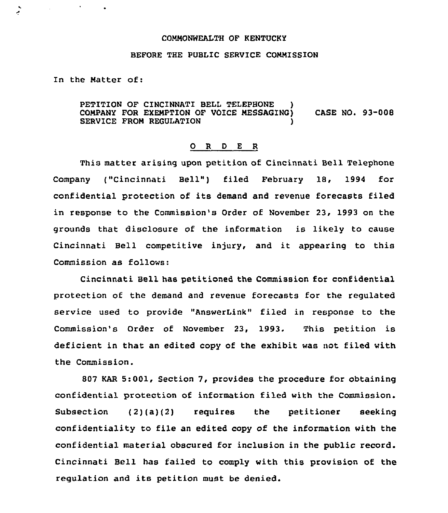## COMMONWEALTH OF KENTUCKY

## BEFORE THE PUBLIC SERVICE COMMISSION

In the Matter of:

 $\bullet$  .

PETITION OF CINCINNATI BELL TELEPHONE COMPANY FOR EXEMPTION OF VOICE MESSAGING) CASE NO. 93-008 SERVICE FROM REGULATION

## 0 R <sup>D</sup> E R

This matter arising upon petition of Cincinnati Bell Telephone Company ("Cincinnati Bell") filed February 18, 1994 for confidential protection of its demand and revenue forecasts filed in response to the Commission's Order of November 23, 1993 on the grounds that disclosure of the information is likely to cause Cincinnati Bell competitive injury, and it appearing to this Commission as follows:

Cincinnati Bell has petitioned the Commission for confidential protection of the demand and revenue forecasts for the regulated service used to provide "AnswerLink" filed in response to the Commission's Order of November 23, 1993. This petition is deficient in that an edited copy of the exhibit was not filed with the Commission.

807 KAR 5:001, Section 7, provides the procedure for obtaining confidential protection of information filed with the Commission. Subsection (2)(a)(2) requires the petitioner seeking confidentiality to file an edited copy of the information with the confidential material obscured for inclusion in the public record. Cincinnati Bell has failed to comply with this provision of the regulation and its petition must be denied.